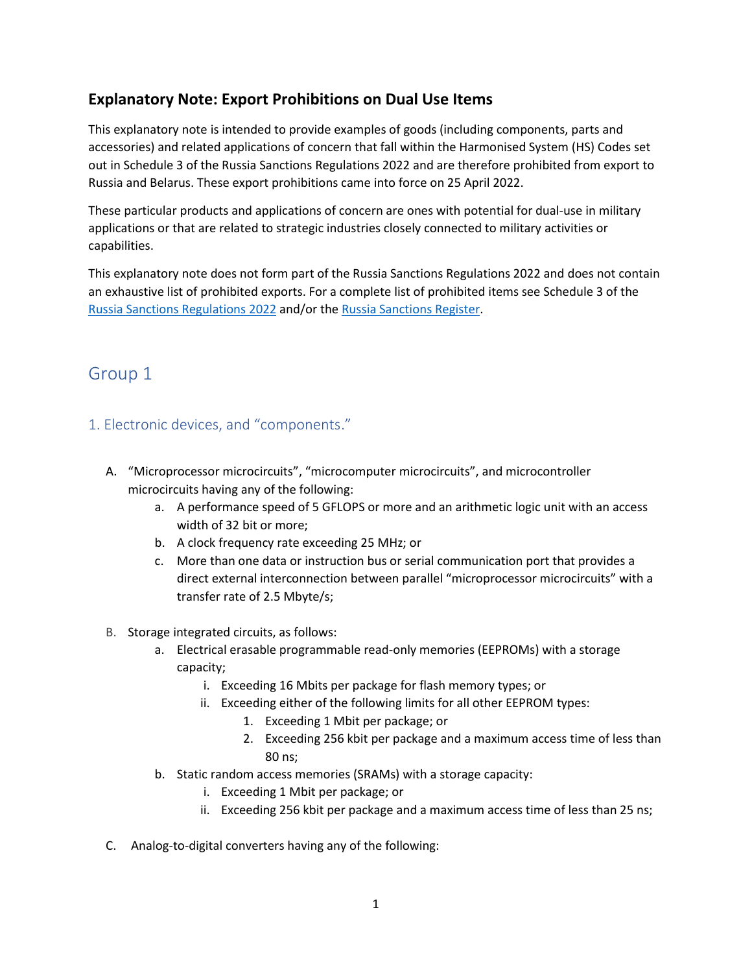## **Explanatory Note: Export Prohibitions on Dual Use Items**

This explanatory note is intended to provide examples of goods (including components, parts and accessories) and related applications of concern that fall within the Harmonised System (HS) Codes set out in Schedule 3 of the Russia Sanctions Regulations 2022 and are therefore prohibited from export to Russia and Belarus. These export prohibitions came into force on 25 April 2022.

These particular products and applications of concern are ones with potential for dual-use in military applications or that are related to strategic industries closely connected to military activities or capabilities.

This explanatory note does not form part of the Russia Sanctions Regulations 2022 and does not contain an exhaustive list of prohibited exports. For a complete list of prohibited items see Schedule 3 of the [Russia Sanctions Regulations](https://www.legislation.govt.nz/regulation/public/2022/0074/latest/LMS659581.html#LMS682727) 2022 and/or the [Russia Sanctions Register.](https://www.mfat.govt.nz/en/countries-and-regions/europe/ukraine/russian-invasion-of-ukraine/sanctions/)

# Group 1

- 1. Electronic devices, and "components."
	- A. "Microprocessor microcircuits", "microcomputer microcircuits", and microcontroller microcircuits having any of the following:
		- a. A performance speed of 5 GFLOPS or more and an arithmetic logic unit with an access width of 32 bit or more;
		- b. A clock frequency rate exceeding 25 MHz; or
		- c. More than one data or instruction bus or serial communication port that provides a direct external interconnection between parallel "microprocessor microcircuits" with a transfer rate of 2.5 Mbyte/s;
	- B. Storage integrated circuits, as follows:
		- a. Electrical erasable programmable read-only memories (EEPROMs) with a storage capacity;
			- i. Exceeding 16 Mbits per package for flash memory types; or
			- ii. Exceeding either of the following limits for all other EEPROM types:
				- 1. Exceeding 1 Mbit per package; or
				- 2. Exceeding 256 kbit per package and a maximum access time of less than 80 ns;
		- b. Static random access memories (SRAMs) with a storage capacity:
			- i. Exceeding 1 Mbit per package; or
			- ii. Exceeding 256 kbit per package and a maximum access time of less than 25 ns;
	- C. Analog-to-digital converters having any of the following: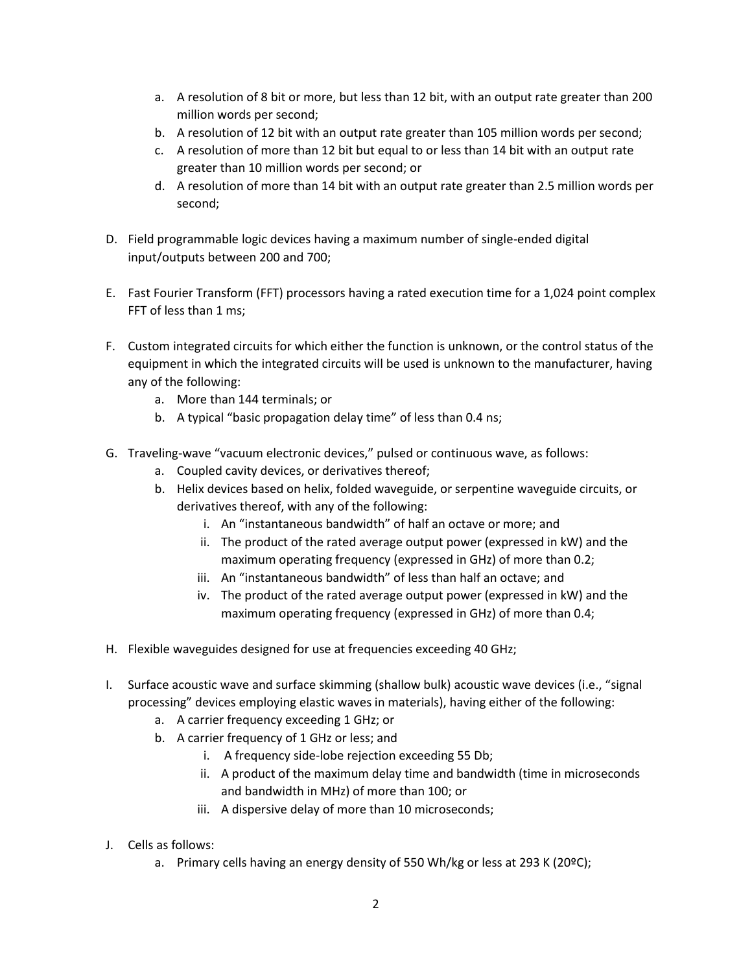- a. A resolution of 8 bit or more, but less than 12 bit, with an output rate greater than 200 million words per second;
- b. A resolution of 12 bit with an output rate greater than 105 million words per second;
- c. A resolution of more than 12 bit but equal to or less than 14 bit with an output rate greater than 10 million words per second; or
- d. A resolution of more than 14 bit with an output rate greater than 2.5 million words per second;
- D. Field programmable logic devices having a maximum number of single-ended digital input/outputs between 200 and 700;
- E. Fast Fourier Transform (FFT) processors having a rated execution time for a 1,024 point complex FFT of less than 1 ms;
- F. Custom integrated circuits for which either the function is unknown, or the control status of the equipment in which the integrated circuits will be used is unknown to the manufacturer, having any of the following:
	- a. More than 144 terminals; or
	- b. A typical "basic propagation delay time" of less than 0.4 ns;
- G. Traveling-wave "vacuum electronic devices," pulsed or continuous wave, as follows:
	- a. Coupled cavity devices, or derivatives thereof;
	- b. Helix devices based on helix, folded waveguide, or serpentine waveguide circuits, or derivatives thereof, with any of the following:
		- i. An "instantaneous bandwidth" of half an octave or more; and
		- ii. The product of the rated average output power (expressed in kW) and the maximum operating frequency (expressed in GHz) of more than 0.2;
		- iii. An "instantaneous bandwidth" of less than half an octave; and
		- iv. The product of the rated average output power (expressed in kW) and the maximum operating frequency (expressed in GHz) of more than 0.4;
- H. Flexible waveguides designed for use at frequencies exceeding 40 GHz;
- I. Surface acoustic wave and surface skimming (shallow bulk) acoustic wave devices (i.e., "signal processing" devices employing elastic waves in materials), having either of the following:
	- a. A carrier frequency exceeding 1 GHz; or
	- b. A carrier frequency of 1 GHz or less; and
		- i. A frequency side-lobe rejection exceeding 55 Db;
		- ii. A product of the maximum delay time and bandwidth (time in microseconds and bandwidth in MHz) of more than 100; or
		- iii. A dispersive delay of more than 10 microseconds;
- J. Cells as follows:
	- a. Primary cells having an energy density of 550 Wh/kg or less at 293 K (20ºC);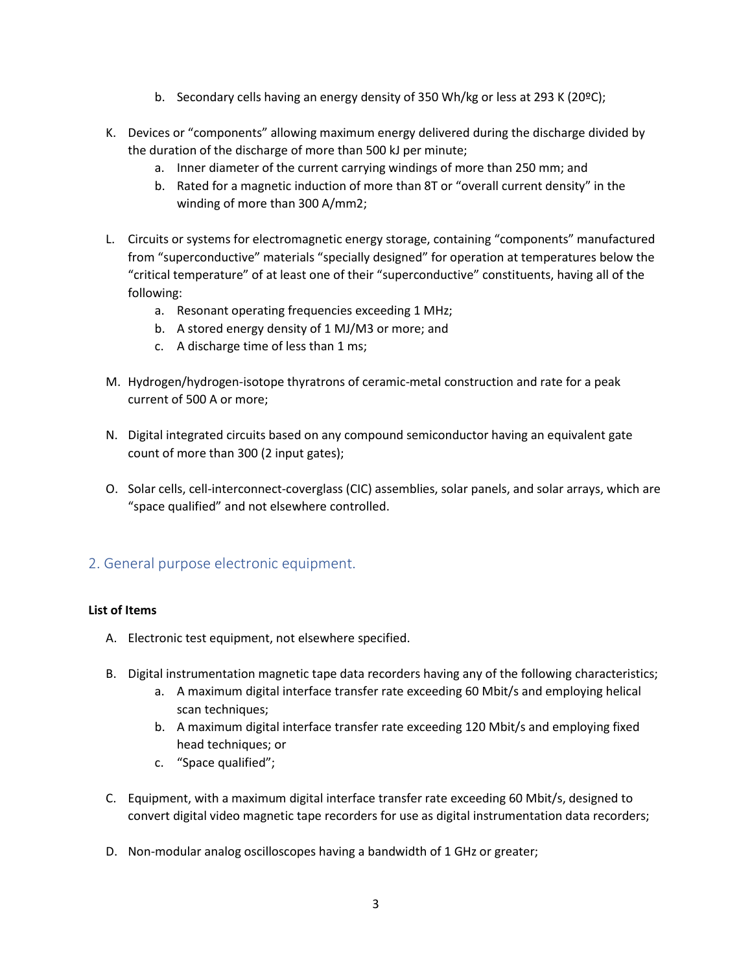- b. Secondary cells having an energy density of 350 Wh/kg or less at 293 K (20ºC);
- K. Devices or "components" allowing maximum energy delivered during the discharge divided by the duration of the discharge of more than 500 kJ per minute;
	- a. Inner diameter of the current carrying windings of more than 250 mm; and
	- b. Rated for a magnetic induction of more than 8T or "overall current density" in the winding of more than 300 A/mm2;
- L. Circuits or systems for electromagnetic energy storage, containing "components" manufactured from "superconductive" materials "specially designed" for operation at temperatures below the "critical temperature" of at least one of their "superconductive" constituents, having all of the following:
	- a. Resonant operating frequencies exceeding 1 MHz;
	- b. A stored energy density of 1 MJ/M3 or more; and
	- c. A discharge time of less than 1 ms;
- M. Hydrogen/hydrogen-isotope thyratrons of ceramic-metal construction and rate for a peak current of 500 A or more;
- N. Digital integrated circuits based on any compound semiconductor having an equivalent gate count of more than 300 (2 input gates);
- O. Solar cells, cell-interconnect-coverglass (CIC) assemblies, solar panels, and solar arrays, which are "space qualified" and not elsewhere controlled.

#### 2. General purpose electronic equipment.

#### **List of Items**

- A. Electronic test equipment, not elsewhere specified.
- B. Digital instrumentation magnetic tape data recorders having any of the following characteristics;
	- a. A maximum digital interface transfer rate exceeding 60 Mbit/s and employing helical scan techniques;
	- b. A maximum digital interface transfer rate exceeding 120 Mbit/s and employing fixed head techniques; or
	- c. "Space qualified";
- C. Equipment, with a maximum digital interface transfer rate exceeding 60 Mbit/s, designed to convert digital video magnetic tape recorders for use as digital instrumentation data recorders;
- D. Non-modular analog oscilloscopes having a bandwidth of 1 GHz or greater;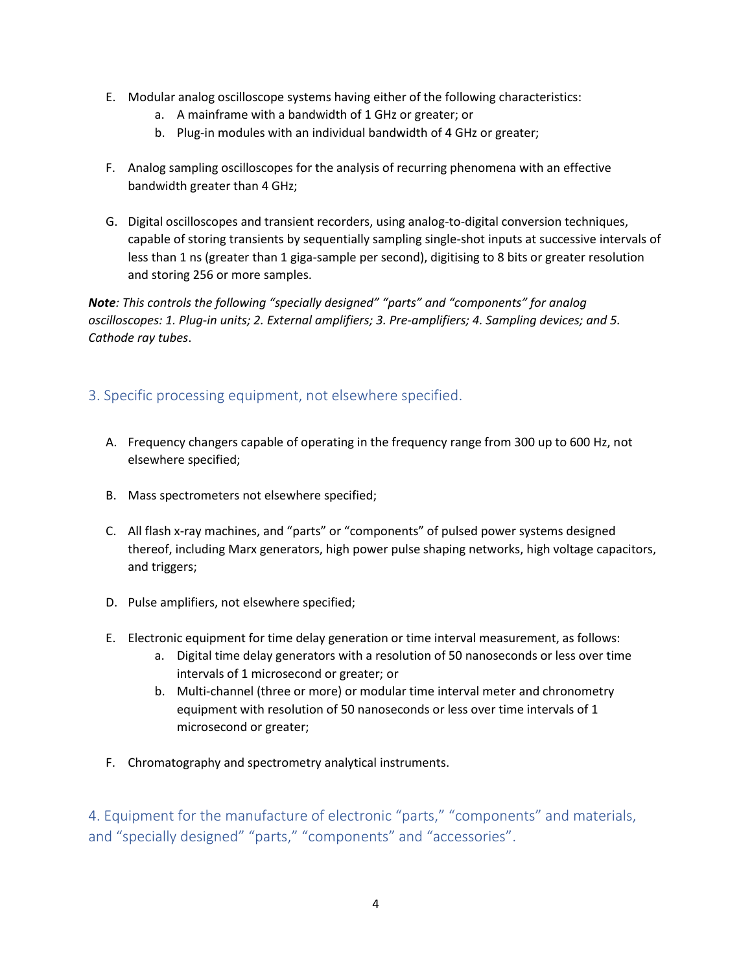- E. Modular analog oscilloscope systems having either of the following characteristics:
	- a. A mainframe with a bandwidth of 1 GHz or greater; or
	- b. Plug-in modules with an individual bandwidth of 4 GHz or greater;
- F. Analog sampling oscilloscopes for the analysis of recurring phenomena with an effective bandwidth greater than 4 GHz;
- G. Digital oscilloscopes and transient recorders, using analog-to-digital conversion techniques, capable of storing transients by sequentially sampling single-shot inputs at successive intervals of less than 1 ns (greater than 1 giga-sample per second), digitising to 8 bits or greater resolution and storing 256 or more samples.

*Note: This controls the following "specially designed" "parts" and "components" for analog oscilloscopes: 1. Plug-in units; 2. External amplifiers; 3. Pre-amplifiers; 4. Sampling devices; and 5. Cathode ray tubes*.

## 3. Specific processing equipment, not elsewhere specified.

- A. Frequency changers capable of operating in the frequency range from 300 up to 600 Hz, not elsewhere specified;
- B. Mass spectrometers not elsewhere specified;
- C. All flash x-ray machines, and "parts" or "components" of pulsed power systems designed thereof, including Marx generators, high power pulse shaping networks, high voltage capacitors, and triggers;
- D. Pulse amplifiers, not elsewhere specified;
- E. Electronic equipment for time delay generation or time interval measurement, as follows:
	- a. Digital time delay generators with a resolution of 50 nanoseconds or less over time intervals of 1 microsecond or greater; or
	- b. Multi-channel (three or more) or modular time interval meter and chronometry equipment with resolution of 50 nanoseconds or less over time intervals of 1 microsecond or greater;
- F. Chromatography and spectrometry analytical instruments.

4. Equipment for the manufacture of electronic "parts," "components" and materials, and "specially designed" "parts," "components" and "accessories".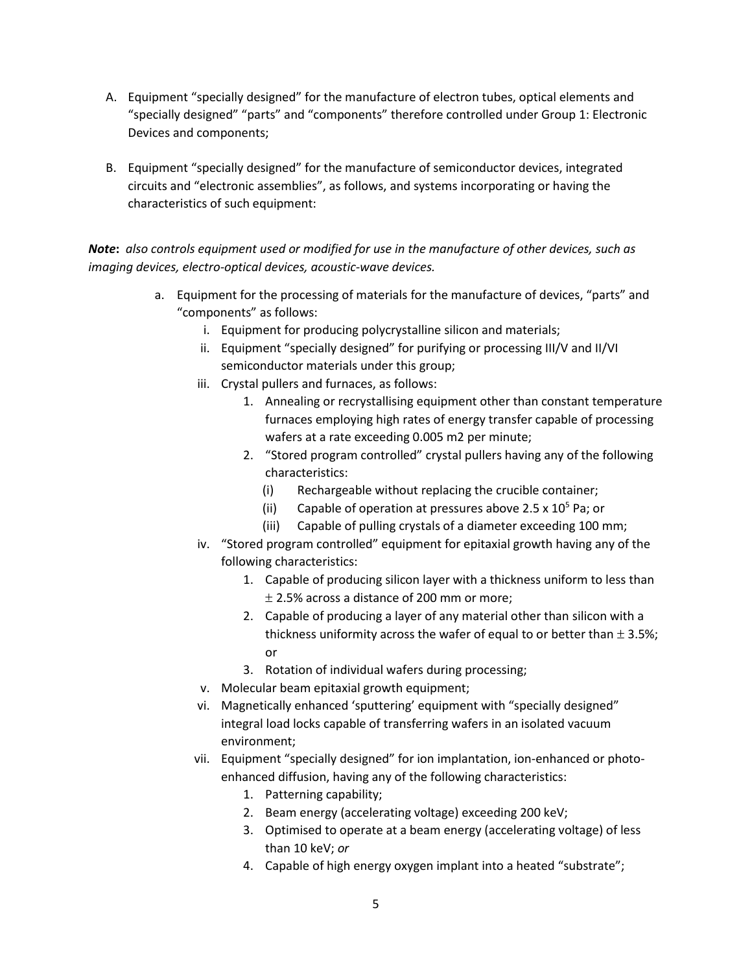- A. Equipment "specially designed" for the manufacture of electron tubes, optical elements and "specially designed" "parts" and "components" therefore controlled under Group 1: Electronic Devices and components;
- B. Equipment "specially designed" for the manufacture of semiconductor devices, integrated circuits and "electronic assemblies", as follows, and systems incorporating or having the characteristics of such equipment:

### *Note***:** *also controls equipment used or modified for use in the manufacture of other devices, such as imaging devices, electro-optical devices, acoustic-wave devices.*

- a. Equipment for the processing of materials for the manufacture of devices, "parts" and "components" as follows:
	- i. Equipment for producing polycrystalline silicon and materials;
	- ii. Equipment "specially designed" for purifying or processing III/V and II/VI semiconductor materials under this group;
	- iii. Crystal pullers and furnaces, as follows:
		- 1. Annealing or recrystallising equipment other than constant temperature furnaces employing high rates of energy transfer capable of processing wafers at a rate exceeding 0.005 m2 per minute;
		- 2. "Stored program controlled" crystal pullers having any of the following characteristics:
			- (i) Rechargeable without replacing the crucible container;
			- (ii) Capable of operation at pressures above 2.5 x  $10^5$  Pa; or
			- (iii) Capable of pulling crystals of a diameter exceeding 100 mm;
	- iv. "Stored program controlled" equipment for epitaxial growth having any of the following characteristics:
		- 1. Capable of producing silicon layer with a thickness uniform to less than  $\pm$  2.5% across a distance of 200 mm or more;
		- 2. Capable of producing a layer of any material other than silicon with a thickness uniformity across the wafer of equal to or better than  $\pm$  3.5%; or
		- 3. Rotation of individual wafers during processing;
	- v. Molecular beam epitaxial growth equipment;
	- vi. Magnetically enhanced 'sputtering' equipment with "specially designed" integral load locks capable of transferring wafers in an isolated vacuum environment;
	- vii. Equipment "specially designed" for ion implantation, ion-enhanced or photoenhanced diffusion, having any of the following characteristics:
		- 1. Patterning capability;
		- 2. Beam energy (accelerating voltage) exceeding 200 keV;
		- 3. Optimised to operate at a beam energy (accelerating voltage) of less than 10 keV; *or*
		- 4. Capable of high energy oxygen implant into a heated "substrate";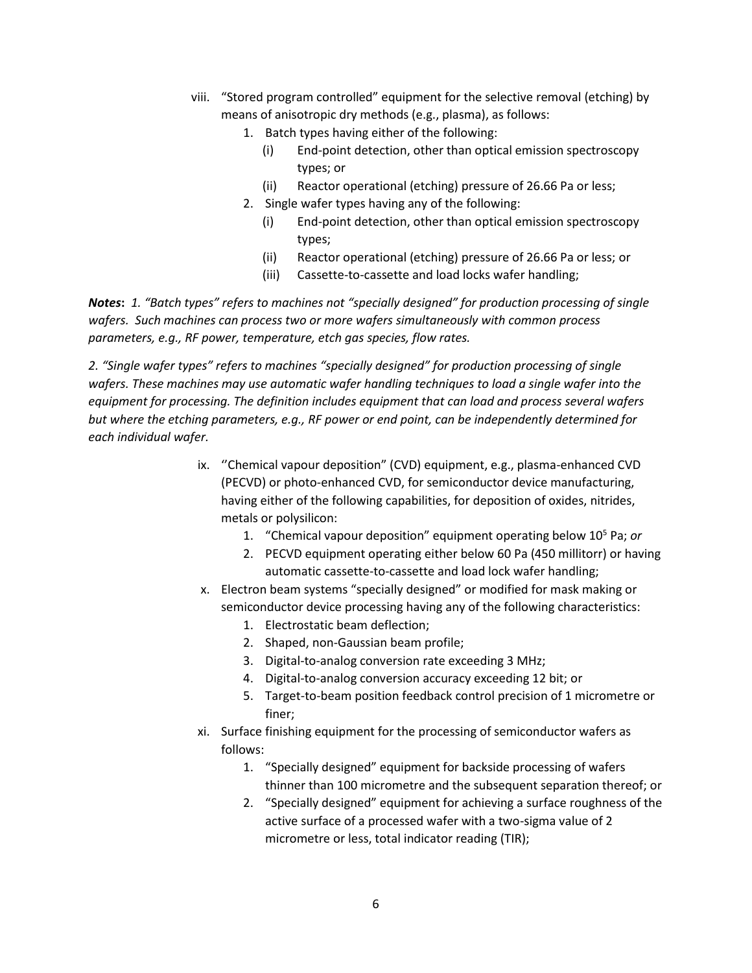- viii. "Stored program controlled" equipment for the selective removal (etching) by means of anisotropic dry methods (e.g., plasma), as follows:
	- 1. Batch types having either of the following:
		- (i) End-point detection, other than optical emission spectroscopy types; or
		- (ii) Reactor operational (etching) pressure of 26.66 Pa or less;
	- 2. Single wafer types having any of the following:
		- (i) End-point detection, other than optical emission spectroscopy types;
		- (ii) Reactor operational (etching) pressure of 26.66 Pa or less; or
		- (iii) Cassette-to-cassette and load locks wafer handling;

*Notes***:** *1. "Batch types" refers to machines not "specially designed" for production processing of single wafers. Such machines can process two or more wafers simultaneously with common process parameters, e.g., RF power, temperature, etch gas species, flow rates.*

*2. "Single wafer types" refers to machines "specially designed" for production processing of single wafers. These machines may use automatic wafer handling techniques to load a single wafer into the equipment for processing. The definition includes equipment that can load and process several wafers but where the etching parameters, e.g., RF power or end point, can be independently determined for each individual wafer.*

- ix. ''Chemical vapour deposition" (CVD) equipment, e.g., plasma-enhanced CVD (PECVD) or photo-enhanced CVD, for semiconductor device manufacturing, having either of the following capabilities, for deposition of oxides, nitrides, metals or polysilicon:
	- 1. "Chemical vapour deposition" equipment operating below 10<sup>5</sup> Pa; *or*
	- 2. PECVD equipment operating either below 60 Pa (450 millitorr) or having automatic cassette-to-cassette and load lock wafer handling;
- x. Electron beam systems "specially designed" or modified for mask making or semiconductor device processing having any of the following characteristics:
	- 1. Electrostatic beam deflection;
	- 2. Shaped, non-Gaussian beam profile;
	- 3. Digital-to-analog conversion rate exceeding 3 MHz;
	- 4. Digital-to-analog conversion accuracy exceeding 12 bit; or
	- 5. Target-to-beam position feedback control precision of 1 micrometre or finer;
- xi. Surface finishing equipment for the processing of semiconductor wafers as follows:
	- 1. "Specially designed" equipment for backside processing of wafers thinner than 100 micrometre and the subsequent separation thereof; or
	- 2. "Specially designed" equipment for achieving a surface roughness of the active surface of a processed wafer with a two-sigma value of 2 micrometre or less, total indicator reading (TIR);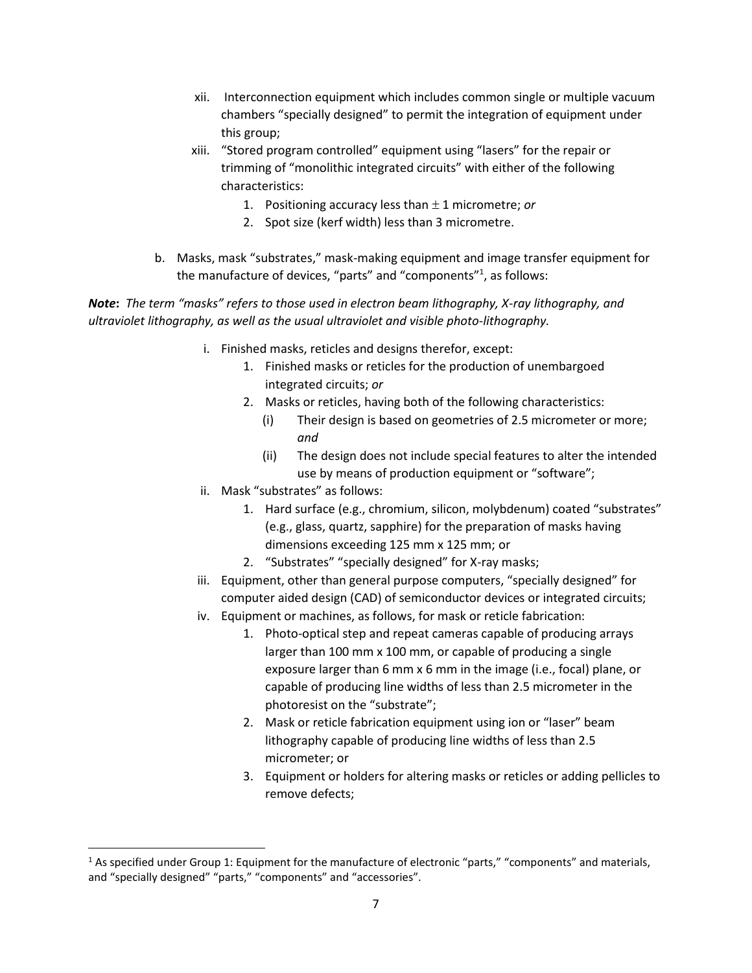- xii. Interconnection equipment which includes common single or multiple vacuum chambers "specially designed" to permit the integration of equipment under this group;
- xiii. "Stored program controlled" equipment using "lasers" for the repair or trimming of "monolithic integrated circuits" with either of the following characteristics:
	- 1. Positioning accuracy less than  $\pm$  1 micrometre; or
	- 2. Spot size (kerf width) less than 3 micrometre.
- b. Masks, mask "substrates," mask-making equipment and image transfer equipment for the manufacture of devices, "parts" and "components"<sup>1</sup>, as follows:

#### *Note***:** *The term "masks" refers to those used in electron beam lithography, X-ray lithography, and ultraviolet lithography, as well as the usual ultraviolet and visible photo-lithography.*

- i. Finished masks, reticles and designs therefor, except:
	- 1. Finished masks or reticles for the production of unembargoed integrated circuits; *or*
	- 2. Masks or reticles, having both of the following characteristics:
		- (i) Their design is based on geometries of 2.5 micrometer or more; *and*
		- (ii) The design does not include special features to alter the intended use by means of production equipment or "software";
- ii. Mask "substrates" as follows:

 $\overline{\phantom{a}}$ 

- 1. Hard surface (e.g., chromium, silicon, molybdenum) coated "substrates" (e.g., glass, quartz, sapphire) for the preparation of masks having dimensions exceeding 125 mm x 125 mm; or
- 2. "Substrates" "specially designed" for X-ray masks;
- iii. Equipment, other than general purpose computers, "specially designed" for computer aided design (CAD) of semiconductor devices or integrated circuits;
- iv. Equipment or machines, as follows, for mask or reticle fabrication:
	- 1. Photo-optical step and repeat cameras capable of producing arrays larger than 100 mm x 100 mm, or capable of producing a single exposure larger than 6 mm x 6 mm in the image (i.e., focal) plane, or capable of producing line widths of less than 2.5 micrometer in the photoresist on the "substrate";
	- 2. Mask or reticle fabrication equipment using ion or "laser" beam lithography capable of producing line widths of less than 2.5 micrometer; or
	- 3. Equipment or holders for altering masks or reticles or adding pellicles to remove defects;

<sup>&</sup>lt;sup>1</sup> As specified under Group 1: Equipment for the manufacture of electronic "parts," "components" and materials, and "specially designed" "parts," "components" and "accessories".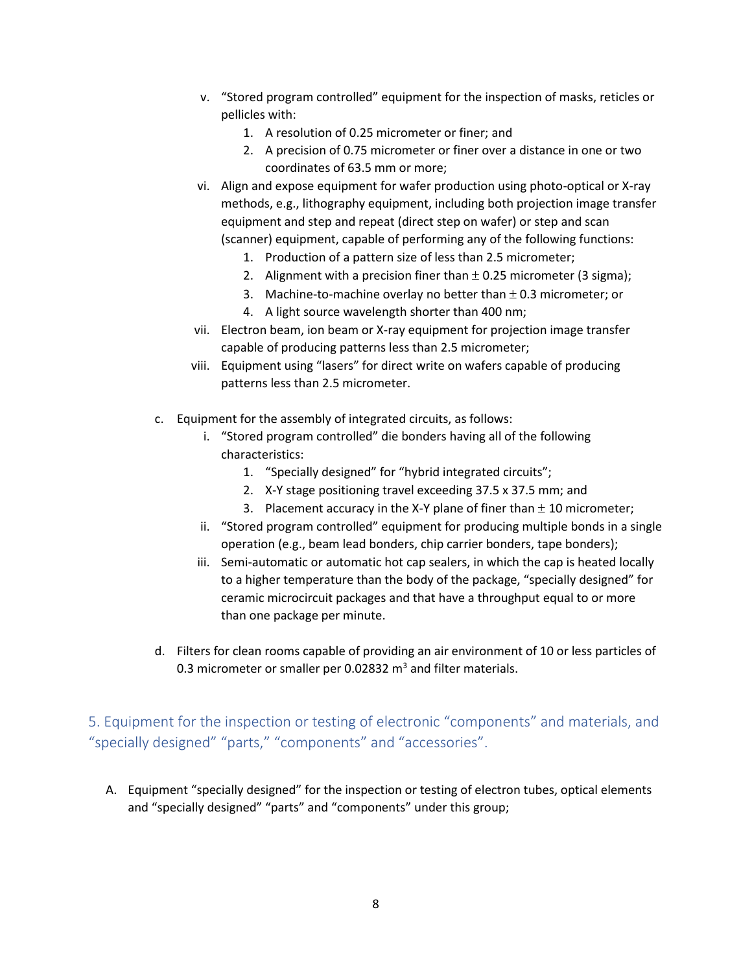- v. "Stored program controlled" equipment for the inspection of masks, reticles or pellicles with:
	- 1. A resolution of 0.25 micrometer or finer; and
	- 2. A precision of 0.75 micrometer or finer over a distance in one or two coordinates of 63.5 mm or more;
- vi. Align and expose equipment for wafer production using photo-optical or X-ray methods, e.g., lithography equipment, including both projection image transfer equipment and step and repeat (direct step on wafer) or step and scan (scanner) equipment, capable of performing any of the following functions:
	- 1. Production of a pattern size of less than 2.5 micrometer;
	- 2. Alignment with a precision finer than  $\pm$  0.25 micrometer (3 sigma);
	- 3. Machine-to-machine overlay no better than  $\pm$  0.3 micrometer; or
	- 4. A light source wavelength shorter than 400 nm;
- vii. Electron beam, ion beam or X-ray equipment for projection image transfer capable of producing patterns less than 2.5 micrometer;
- viii. Equipment using "lasers" for direct write on wafers capable of producing patterns less than 2.5 micrometer.
- c. Equipment for the assembly of integrated circuits, as follows:
	- i. "Stored program controlled" die bonders having all of the following characteristics:
		- 1. "Specially designed" for "hybrid integrated circuits";
		- 2. X-Y stage positioning travel exceeding 37.5 x 37.5 mm; and
		- 3. Placement accuracy in the X-Y plane of finer than  $\pm$  10 micrometer;
	- ii. "Stored program controlled" equipment for producing multiple bonds in a single operation (e.g., beam lead bonders, chip carrier bonders, tape bonders);
	- iii. Semi-automatic or automatic hot cap sealers, in which the cap is heated locally to a higher temperature than the body of the package, "specially designed" for ceramic microcircuit packages and that have a throughput equal to or more than one package per minute.
- d. Filters for clean rooms capable of providing an air environment of 10 or less particles of 0.3 micrometer or smaller per 0.02832  $m<sup>3</sup>$  and filter materials.

5. Equipment for the inspection or testing of electronic "components" and materials, and "specially designed" "parts," "components" and "accessories".

A. Equipment "specially designed" for the inspection or testing of electron tubes, optical elements and "specially designed" "parts" and "components" under this group;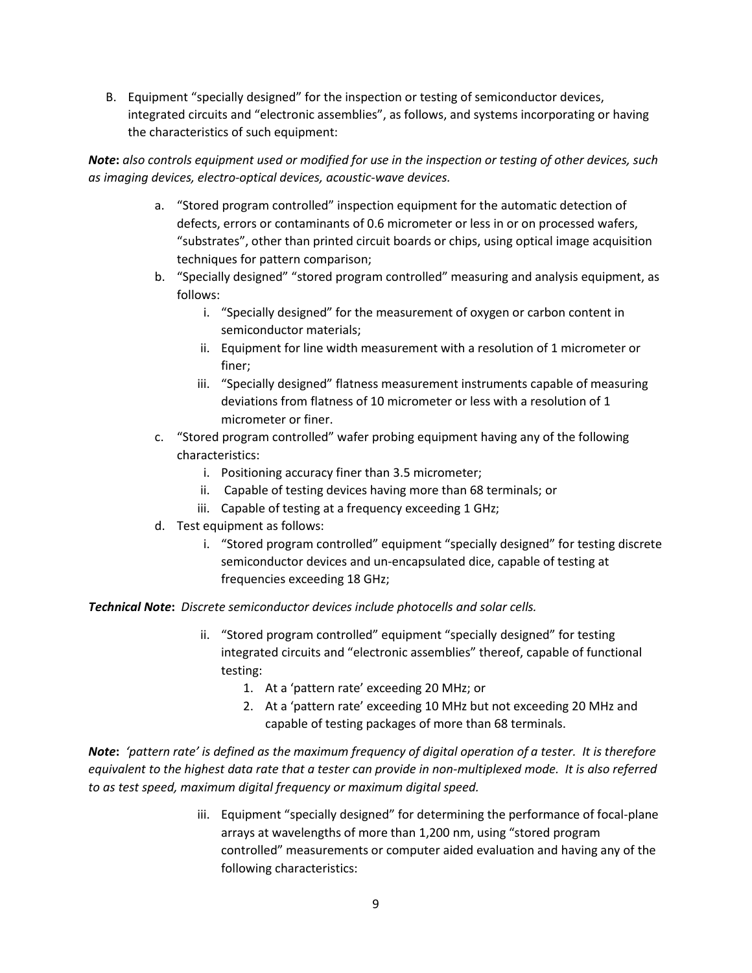B. Equipment "specially designed" for the inspection or testing of semiconductor devices, integrated circuits and "electronic assemblies", as follows, and systems incorporating or having the characteristics of such equipment:

*Note***:** *also controls equipment used or modified for use in the inspection or testing of other devices, such as imaging devices, electro-optical devices, acoustic-wave devices.*

- a. "Stored program controlled" inspection equipment for the automatic detection of defects, errors or contaminants of 0.6 micrometer or less in or on processed wafers, "substrates", other than printed circuit boards or chips, using optical image acquisition techniques for pattern comparison;
- b. "Specially designed" "stored program controlled" measuring and analysis equipment, as follows:
	- i. "Specially designed" for the measurement of oxygen or carbon content in semiconductor materials;
	- ii. Equipment for line width measurement with a resolution of 1 micrometer or finer;
	- iii. "Specially designed" flatness measurement instruments capable of measuring deviations from flatness of 10 micrometer or less with a resolution of 1 micrometer or finer.
- c. "Stored program controlled" wafer probing equipment having any of the following characteristics:
	- i. Positioning accuracy finer than 3.5 micrometer;
	- ii. Capable of testing devices having more than 68 terminals; or
	- iii. Capable of testing at a frequency exceeding 1 GHz;
- d. Test equipment as follows:
	- i. "Stored program controlled" equipment "specially designed" for testing discrete semiconductor devices and un-encapsulated dice, capable of testing at frequencies exceeding 18 GHz;

*Technical Note***:** *Discrete semiconductor devices include photocells and solar cells.*

- ii. "Stored program controlled" equipment "specially designed" for testing integrated circuits and "electronic assemblies" thereof, capable of functional testing:
	- 1. At a 'pattern rate' exceeding 20 MHz; or
	- 2. At a 'pattern rate' exceeding 10 MHz but not exceeding 20 MHz and capable of testing packages of more than 68 terminals.

*Note***:** *'pattern rate' is defined as the maximum frequency of digital operation of a tester. It is therefore equivalent to the highest data rate that a tester can provide in non-multiplexed mode. It is also referred to as test speed, maximum digital frequency or maximum digital speed.*

> iii. Equipment "specially designed" for determining the performance of focal-plane arrays at wavelengths of more than 1,200 nm, using "stored program controlled" measurements or computer aided evaluation and having any of the following characteristics: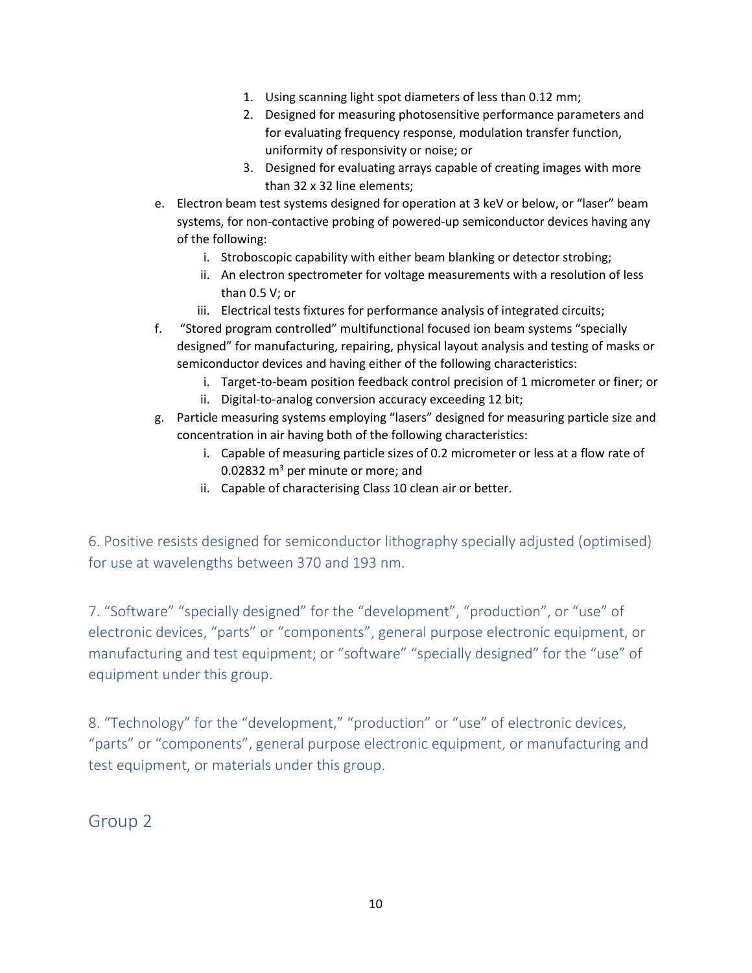- 1. Using scanning light spot diameters of less than 0.12 mm;
- 2. Designed for measuring photosensitive performance parameters and for evaluating frequency response, modulation transfer function, uniformity of responsivity or noise; or
- 3. Designed for evaluating arrays capable of creating images with more than 32 x 32 line elements;
- e. Electron beam test systems designed for operation at 3 keV or below, or "laser" beam systems, for non-contactive probing of powered-up semiconductor devices having any of the following:
	- i. Stroboscopic capability with either beam blanking or detector strobing;
	- ii. An electron spectrometer for voltage measurements with a resolution of less than 0.5 V; or
	- iii. Electrical tests fixtures for performance analysis of integrated circuits;
- f. "Stored program controlled" multifunctional focused ion beam systems "specially designed" for manufacturing, repairing, physical layout analysis and testing of masks or semiconductor devices and having either of the following characteristics:
	- i. Target-to-beam position feedback control precision of 1 micrometer or finer; or
	- ii. Digital-to-analog conversion accuracy exceeding 12 bit;
- g. Particle measuring systems employing "lasers" designed for measuring particle size and concentration in air having both of the following characteristics:
	- i. Capable of measuring particle sizes of 0.2 micrometer or less at a flow rate of 0.02832  $m<sup>3</sup>$  per minute or more; and
	- ii. Capable of characterising Class 10 clean air or better.

6. Positive resists designed for semiconductor lithography specially adjusted (optimised) for use at wavelengths between 370 and 193 nm.

7. "Software" "specially designed" for the "development", "production", or "use" of electronic devices, "parts" or "components", general purpose electronic equipment, or manufacturing and test equipment; or "software" "specially designed" for the "use" of equipment under this group.

8. "Technology" for the "development," "production" or "use" of electronic devices, "parts" or "components", general purpose electronic equipment, or manufacturing and test equipment, or materials under this group.

Group 2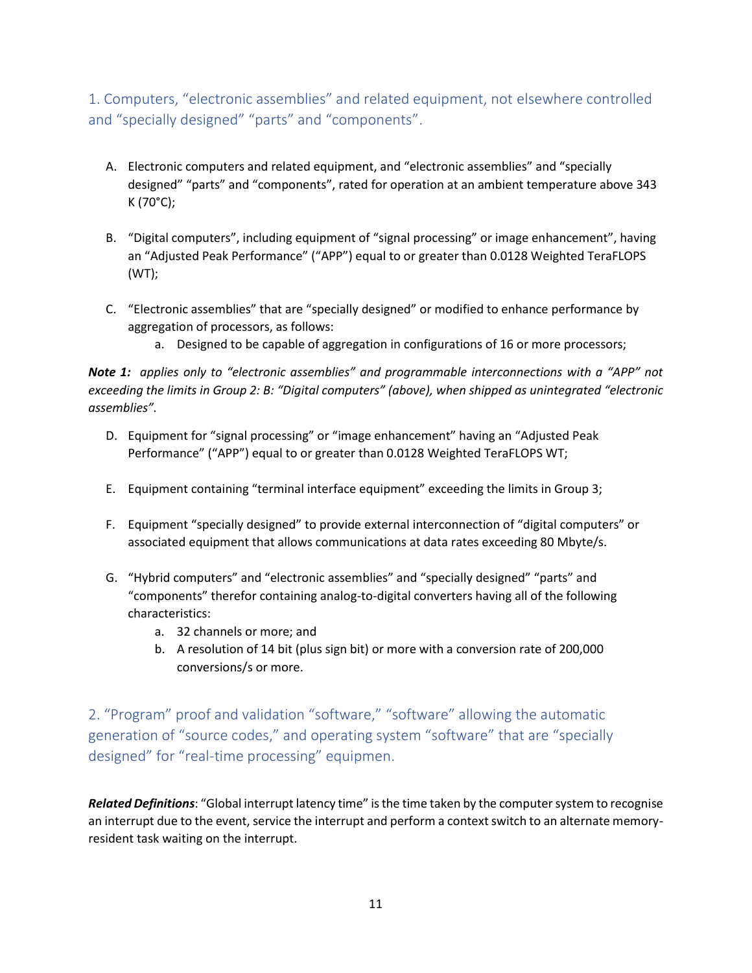1. Computers, "electronic assemblies" and related equipment, not elsewhere controlled and "specially designed" "parts" and "components".

- A. Electronic computers and related equipment, and "electronic assemblies" and "specially designed" "parts" and "components", rated for operation at an ambient temperature above 343 K (70°C);
- B. "Digital computers", including equipment of "signal processing" or image enhancement", having an "Adjusted Peak Performance" ("APP") equal to or greater than 0.0128 Weighted TeraFLOPS (WT);
- C. "Electronic assemblies" that are "specially designed" or modified to enhance performance by aggregation of processors, as follows:
	- a. Designed to be capable of aggregation in configurations of 16 or more processors;

*Note 1: applies only to "electronic assemblies" and programmable interconnections with a "APP" not exceeding the limits in Group 2: B: "Digital computers" (above), when shipped as unintegrated "electronic assemblies".* 

- D. Equipment for "signal processing" or "image enhancement" having an "Adjusted Peak Performance" ("APP") equal to or greater than 0.0128 Weighted TeraFLOPS WT;
- E. Equipment containing "terminal interface equipment" exceeding the limits in Group 3;
- F. Equipment "specially designed" to provide external interconnection of "digital computers" or associated equipment that allows communications at data rates exceeding 80 Mbyte/s.
- G. "Hybrid computers" and "electronic assemblies" and "specially designed" "parts" and "components" therefor containing analog-to-digital converters having all of the following characteristics:
	- a. 32 channels or more; and
	- b. A resolution of 14 bit (plus sign bit) or more with a conversion rate of 200,000 conversions/s or more.

2. "Program" proof and validation "software," "software" allowing the automatic generation of "source codes," and operating system "software" that are "specially designed" for "real-time processing" equipmen.

*Related Definitions*: "Global interrupt latency time" is the time taken by the computer system to recognise an interrupt due to the event, service the interrupt and perform a context switch to an alternate memoryresident task waiting on the interrupt.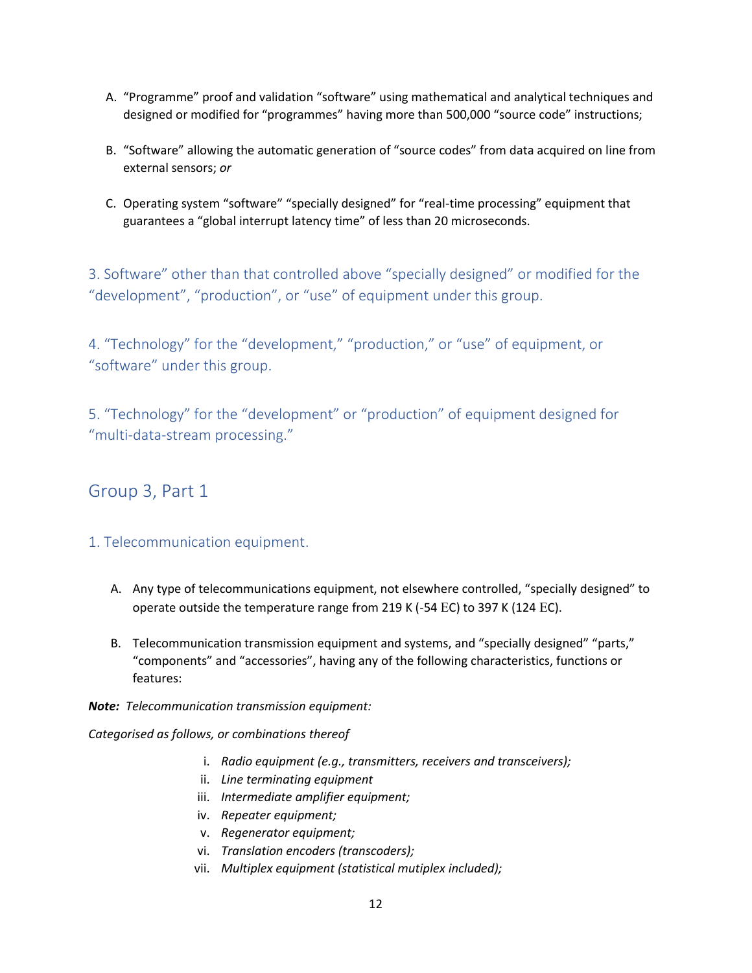- A. "Programme" proof and validation "software" using mathematical and analytical techniques and designed or modified for "programmes" having more than 500,000 "source code" instructions;
- B. "Software" allowing the automatic generation of "source codes" from data acquired on line from external sensors; *or*
- C. Operating system "software" "specially designed" for "real-time processing" equipment that guarantees a "global interrupt latency time" of less than 20 microseconds.

3. Software" other than that controlled above "specially designed" or modified for the "development", "production", or "use" of equipment under this group.

4. "Technology" for the "development," "production," or "use" of equipment, or "software" under this group.

5. "Technology" for the "development" or "production" of equipment designed for "multi-data-stream processing."

# Group 3, Part 1

#### 1. Telecommunication equipment.

- A. Any type of telecommunications equipment, not elsewhere controlled, "specially designed" to operate outside the temperature range from 219 K (-54 EC) to 397 K (124 EC).
- B. Telecommunication transmission equipment and systems, and "specially designed" "parts," "components" and "accessories", having any of the following characteristics, functions or features:
- *Note: Telecommunication transmission equipment:*

*Categorised as follows, or combinations thereof*

- i. *Radio equipment (e.g., transmitters, receivers and transceivers);*
- ii. *Line terminating equipment*
- iii. *Intermediate amplifier equipment;*
- iv. *Repeater equipment;*
- v. *Regenerator equipment;*
- vi. *Translation encoders (transcoders);*
- vii. *Multiplex equipment (statistical mutiplex included);*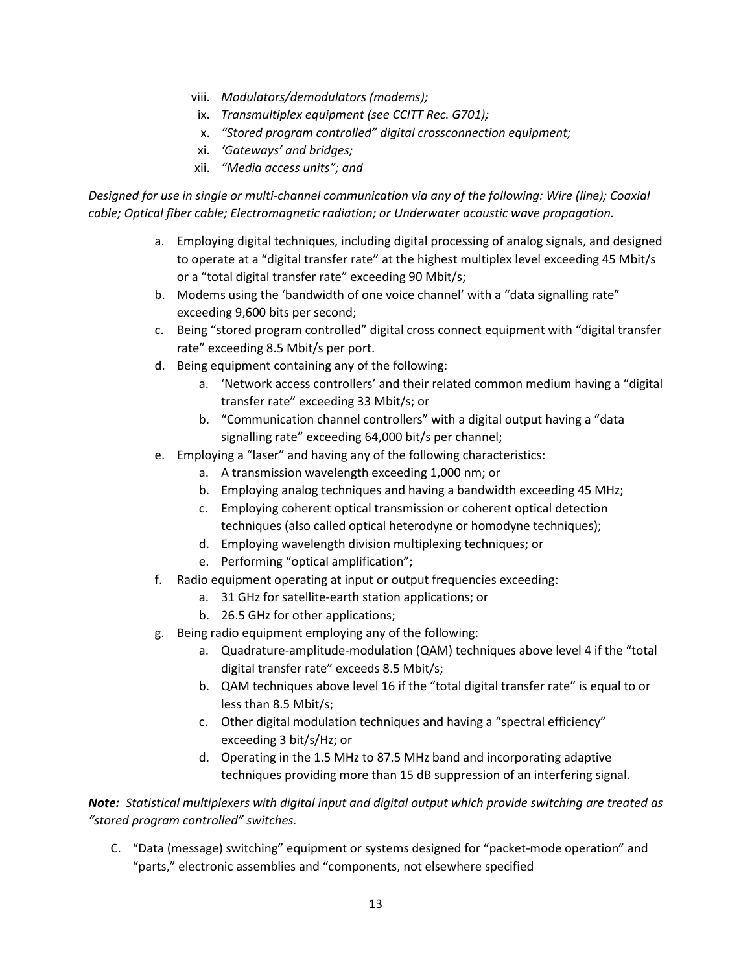- viii. *Modulators/demodulators (modems);*
	- ix. *Transmultiplex equipment (see CCITT Rec. G701);*
	- x. *"Stored program controlled" digital crossconnection equipment;*
- xi. *'Gateways' and bridges;*
- xii. *"Media access units"; and*

*Designed for use in single or multi-channel communication via any of the following: Wire (line); Coaxial cable; Optical fiber cable; Electromagnetic radiation; or Underwater acoustic wave propagation.*

- a. Employing digital techniques, including digital processing of analog signals, and designed to operate at a "digital transfer rate" at the highest multiplex level exceeding 45 Mbit/s or a "total digital transfer rate" exceeding 90 Mbit/s;
- b. Modems using the 'bandwidth of one voice channel' with a "data signalling rate" exceeding 9,600 bits per second;
- c. Being "stored program controlled" digital cross connect equipment with "digital transfer rate" exceeding 8.5 Mbit/s per port.
- d. Being equipment containing any of the following:
	- a. 'Network access controllers' and their related common medium having a "digital transfer rate" exceeding 33 Mbit/s; or
	- b. "Communication channel controllers" with a digital output having a "data signalling rate" exceeding 64,000 bit/s per channel;
- e. Employing a "laser" and having any of the following characteristics:
	- a. A transmission wavelength exceeding 1,000 nm; or
	- b. Employing analog techniques and having a bandwidth exceeding 45 MHz;
	- c. Employing coherent optical transmission or coherent optical detection techniques (also called optical heterodyne or homodyne techniques);
	- d. Employing wavelength division multiplexing techniques; or
	- e. Performing "optical amplification";
- f. Radio equipment operating at input or output frequencies exceeding:
	- a. 31 GHz for satellite-earth station applications; or
	- b. 26.5 GHz for other applications;
- g. Being radio equipment employing any of the following:
	- a. Quadrature-amplitude-modulation (QAM) techniques above level 4 if the "total digital transfer rate" exceeds 8.5 Mbit/s;
	- b. QAM techniques above level 16 if the "total digital transfer rate" is equal to or less than 8.5 Mbit/s;
	- c. Other digital modulation techniques and having a "spectral efficiency" exceeding 3 bit/s/Hz; or
	- d. Operating in the 1.5 MHz to 87.5 MHz band and incorporating adaptive techniques providing more than 15 dB suppression of an interfering signal.

*Note: Statistical multiplexers with digital input and digital output which provide switching are treated as "stored program controlled" switches.*

C. "Data (message) switching" equipment or systems designed for "packet-mode operation" and "parts," electronic assemblies and "components, not elsewhere specified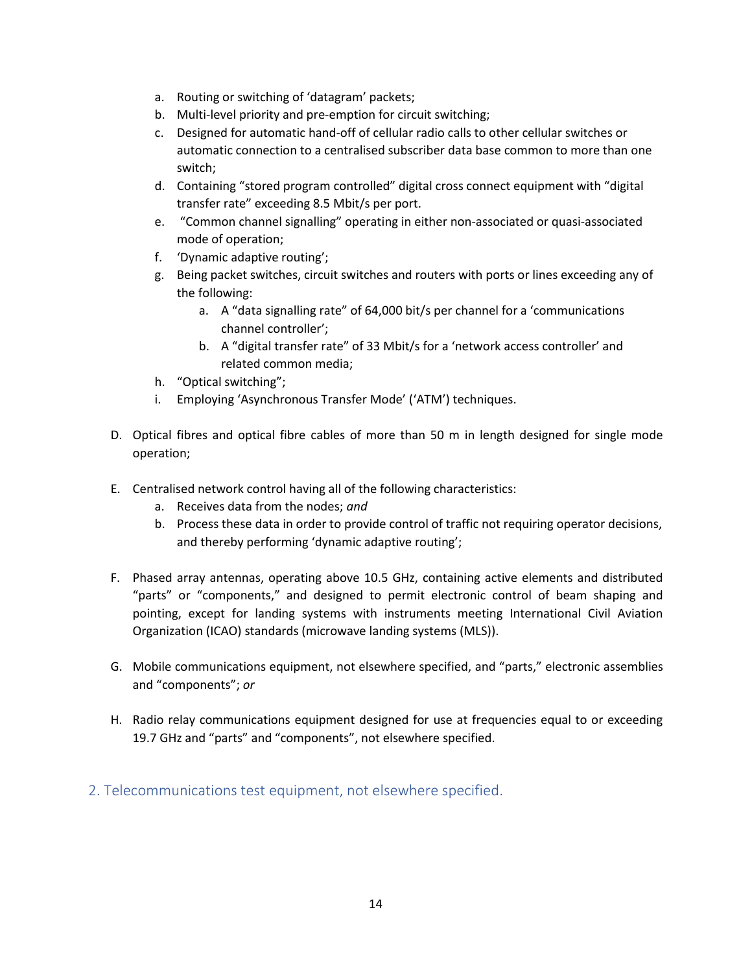- a. Routing or switching of 'datagram' packets;
- b. Multi-level priority and pre-emption for circuit switching;
- c. Designed for automatic hand-off of cellular radio calls to other cellular switches or automatic connection to a centralised subscriber data base common to more than one switch;
- d. Containing "stored program controlled" digital cross connect equipment with "digital transfer rate" exceeding 8.5 Mbit/s per port.
- e. "Common channel signalling" operating in either non-associated or quasi-associated mode of operation;
- f. 'Dynamic adaptive routing';
- g. Being packet switches, circuit switches and routers with ports or lines exceeding any of the following:
	- a. A "data signalling rate" of 64,000 bit/s per channel for a 'communications channel controller';
	- b. A "digital transfer rate" of 33 Mbit/s for a 'network access controller' and related common media;
- h. "Optical switching";
- i. Employing 'Asynchronous Transfer Mode' ('ATM') techniques.
- D. Optical fibres and optical fibre cables of more than 50 m in length designed for single mode operation;
- E. Centralised network control having all of the following characteristics:
	- a. Receives data from the nodes; *and*
	- b. Process these data in order to provide control of traffic not requiring operator decisions, and thereby performing 'dynamic adaptive routing';
- F. Phased array antennas, operating above 10.5 GHz, containing active elements and distributed "parts" or "components," and designed to permit electronic control of beam shaping and pointing, except for landing systems with instruments meeting International Civil Aviation Organization (ICAO) standards (microwave landing systems (MLS)).
- G. Mobile communications equipment, not elsewhere specified, and "parts," electronic assemblies and "components"; *or*
- H. Radio relay communications equipment designed for use at frequencies equal to or exceeding 19.7 GHz and "parts" and "components", not elsewhere specified.
- 2. Telecommunications test equipment, not elsewhere specified.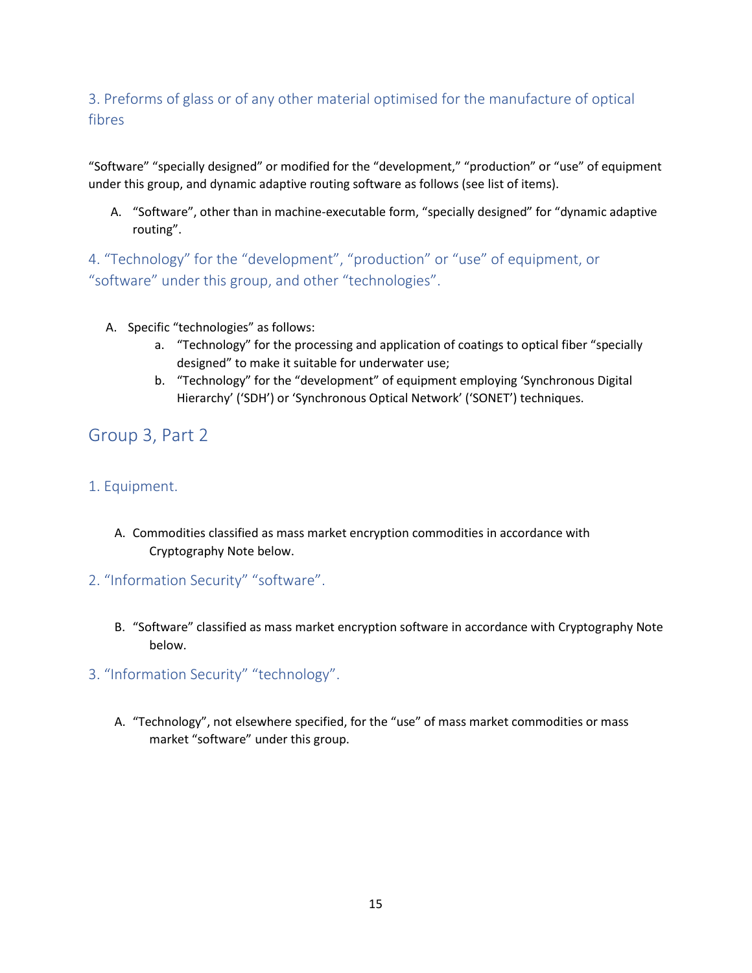# 3. Preforms of glass or of any other material optimised for the manufacture of optical fibres

"Software" "specially designed" or modified for the "development," "production" or "use" of equipment under this group, and dynamic adaptive routing software as follows (see list of items).

A. "Software", other than in machine-executable form, "specially designed" for "dynamic adaptive routing".

4. "Technology" for the "development", "production" or "use" of equipment, or "software" under this group, and other "technologies".

- A. Specific "technologies" as follows:
	- a. "Technology" for the processing and application of coatings to optical fiber "specially designed" to make it suitable for underwater use;
	- b. "Technology" for the "development" of equipment employing 'Synchronous Digital Hierarchy' ('SDH') or 'Synchronous Optical Network' ('SONET') techniques.

# Group 3, Part 2

### 1. Equipment.

- A. Commodities classified as mass market encryption commodities in accordance with Cryptography Note below.
- 2. "Information Security" "software".
	- B. "Software" classified as mass market encryption software in accordance with Cryptography Note below.
- 3. "Information Security" "technology".
	- A. "Technology", not elsewhere specified, for the "use" of mass market commodities or mass market "software" under this group.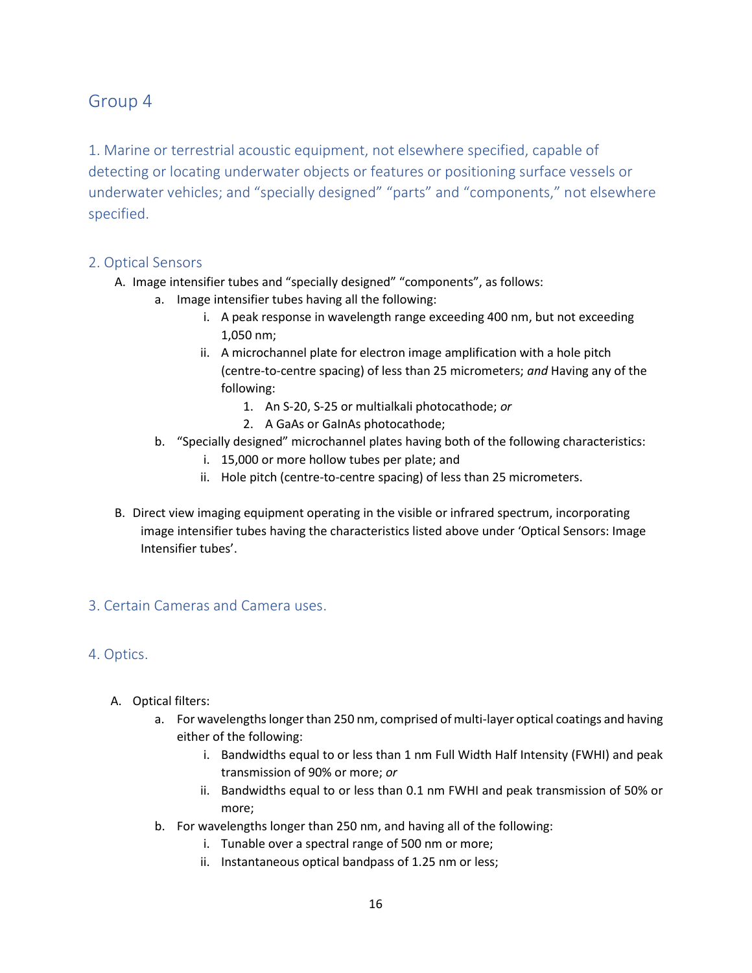# Group 4

1. Marine or terrestrial acoustic equipment, not elsewhere specified, capable of detecting or locating underwater objects or features or positioning surface vessels or underwater vehicles; and "specially designed" "parts" and "components," not elsewhere specified.

#### 2. Optical Sensors

- A. Image intensifier tubes and "specially designed" "components", as follows:
	- a. Image intensifier tubes having all the following:
		- i. A peak response in wavelength range exceeding 400 nm, but not exceeding 1,050 nm;
		- ii. A microchannel plate for electron image amplification with a hole pitch (centre-to-centre spacing) of less than 25 micrometers; *and* Having any of the following:
			- 1. An S-20, S-25 or multialkali photocathode; *or*
			- 2. A GaAs or GaInAs photocathode;
		- b. "Specially designed" microchannel plates having both of the following characteristics:
			- i. 15,000 or more hollow tubes per plate; and
			- ii. Hole pitch (centre-to-centre spacing) of less than 25 micrometers.
- B. Direct view imaging equipment operating in the visible or infrared spectrum, incorporating image intensifier tubes having the characteristics listed above under 'Optical Sensors: Image Intensifier tubes'.

### 3. Certain Cameras and Camera uses.

### 4. Optics.

- A. Optical filters:
	- a. For wavelengths longer than 250 nm, comprised of multi-layer optical coatings and having either of the following:
		- i. Bandwidths equal to or less than 1 nm Full Width Half Intensity (FWHI) and peak transmission of 90% or more; *or*
		- ii. Bandwidths equal to or less than 0.1 nm FWHI and peak transmission of 50% or more;
	- b. For wavelengths longer than 250 nm, and having all of the following:
		- i. Tunable over a spectral range of 500 nm or more;
		- ii. Instantaneous optical bandpass of 1.25 nm or less;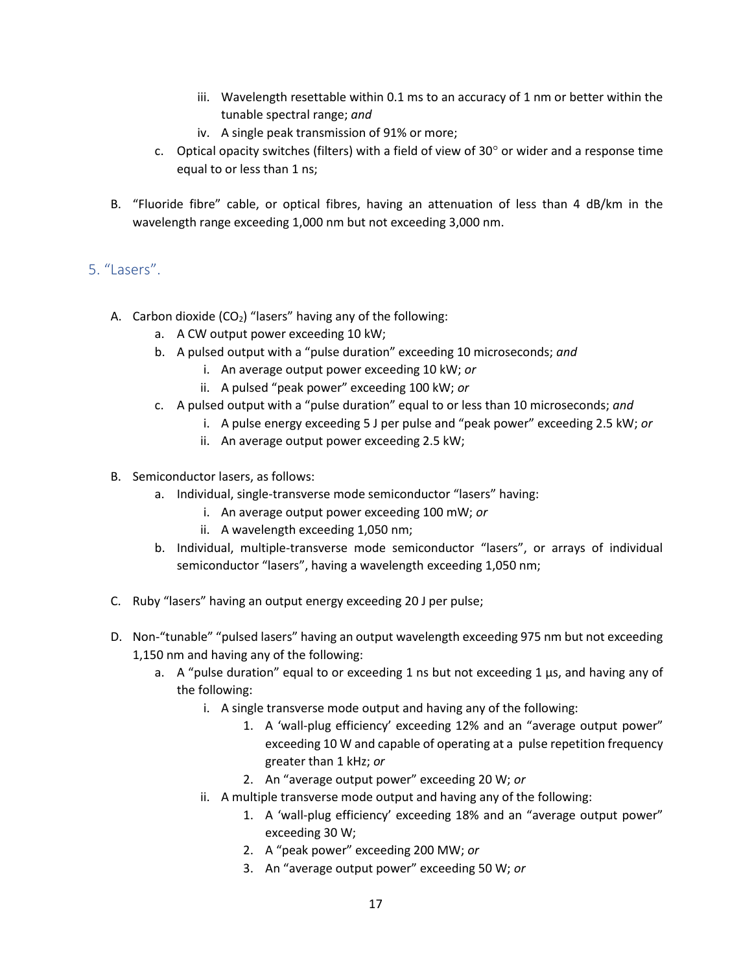- iii. Wavelength resettable within 0.1 ms to an accuracy of 1 nm or better within the tunable spectral range; *and*
- iv. A single peak transmission of 91% or more;
- c. Optical opacity switches (filters) with a field of view of  $30^{\circ}$  or wider and a response time equal to or less than 1 ns;
- B. "Fluoride fibre" cable, or optical fibres, having an attenuation of less than 4 dB/km in the wavelength range exceeding 1,000 nm but not exceeding 3,000 nm.

### 5. "Lasers".

- A. Carbon dioxide  $(CO_2)$  "lasers" having any of the following:
	- a. A CW output power exceeding 10 kW;
	- b. A pulsed output with a "pulse duration" exceeding 10 microseconds; *and*
		- i. An average output power exceeding 10 kW; *or*
		- ii. A pulsed "peak power" exceeding 100 kW; *or*
	- c. A pulsed output with a "pulse duration" equal to or less than 10 microseconds; *and*
		- i. A pulse energy exceeding 5 J per pulse and "peak power" exceeding 2.5 kW; *or*
			- ii. An average output power exceeding 2.5 kW;
- B. Semiconductor lasers, as follows:
	- a. Individual, single-transverse mode semiconductor "lasers" having:
		- i. An average output power exceeding 100 mW; *or*
		- ii. A wavelength exceeding 1,050 nm;
	- b. Individual, multiple-transverse mode semiconductor "lasers", or arrays of individual semiconductor "lasers", having a wavelength exceeding 1,050 nm;
- C. Ruby "lasers" having an output energy exceeding 20 J per pulse;
- D. Non-"tunable" "pulsed lasers" having an output wavelength exceeding 975 nm but not exceeding 1,150 nm and having any of the following:
	- a. A "pulse duration" equal to or exceeding 1 ns but not exceeding 1  $\mu$ s, and having any of the following:
		- i. A single transverse mode output and having any of the following:
			- 1. A 'wall-plug efficiency' exceeding 12% and an "average output power" exceeding 10 W and capable of operating at a pulse repetition frequency greater than 1 kHz; *or*
			- 2. An "average output power" exceeding 20 W; *or*
		- ii. A multiple transverse mode output and having any of the following:
			- 1. A 'wall-plug efficiency' exceeding 18% and an "average output power" exceeding 30 W;
			- 2. A "peak power" exceeding 200 MW; *or*
			- 3. An "average output power" exceeding 50 W; *or*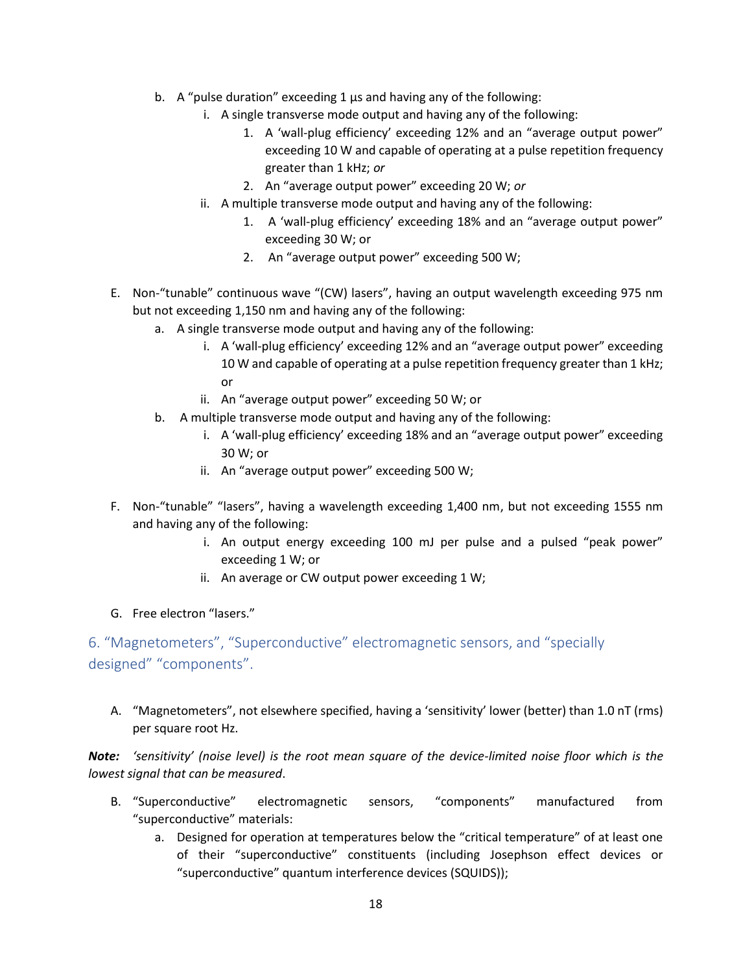- b. A "pulse duration" exceeding 1 μs and having any of the following:
	- i. A single transverse mode output and having any of the following:
		- 1. A 'wall-plug efficiency' exceeding 12% and an "average output power" exceeding 10 W and capable of operating at a pulse repetition frequency greater than 1 kHz; *or*
		- 2. An "average output power" exceeding 20 W; *or*
	- ii. A multiple transverse mode output and having any of the following:
		- 1. A 'wall-plug efficiency' exceeding 18% and an "average output power" exceeding 30 W; or
		- 2. An "average output power" exceeding 500 W;
- E. Non-"tunable" continuous wave "(CW) lasers", having an output wavelength exceeding 975 nm but not exceeding 1,150 nm and having any of the following:
	- a. A single transverse mode output and having any of the following:
		- i. A 'wall-plug efficiency' exceeding 12% and an "average output power" exceeding 10 W and capable of operating at a pulse repetition frequency greater than 1 kHz; or
		- ii. An "average output power" exceeding 50 W; or
	- b. A multiple transverse mode output and having any of the following:
		- i. A 'wall-plug efficiency' exceeding 18% and an "average output power" exceeding 30 W; or
		- ii. An "average output power" exceeding 500 W;
- F. Non-"tunable" "lasers", having a wavelength exceeding 1,400 nm, but not exceeding 1555 nm and having any of the following:
	- i. An output energy exceeding 100 mJ per pulse and a pulsed "peak power" exceeding 1 W; or
	- ii. An average or CW output power exceeding 1 W;
- G. Free electron "lasers."

## 6. "Magnetometers", "Superconductive" electromagnetic sensors, and "specially designed" "components".

A. "Magnetometers", not elsewhere specified, having a 'sensitivity' lower (better) than 1.0 nT (rms) per square root Hz.

*Note: 'sensitivity' (noise level) is the root mean square of the device-limited noise floor which is the lowest signal that can be measured*.

- B. "Superconductive" electromagnetic sensors, "components" manufactured from "superconductive" materials:
	- a. Designed for operation at temperatures below the "critical temperature" of at least one of their "superconductive" constituents (including Josephson effect devices or "superconductive" quantum interference devices (SQUIDS));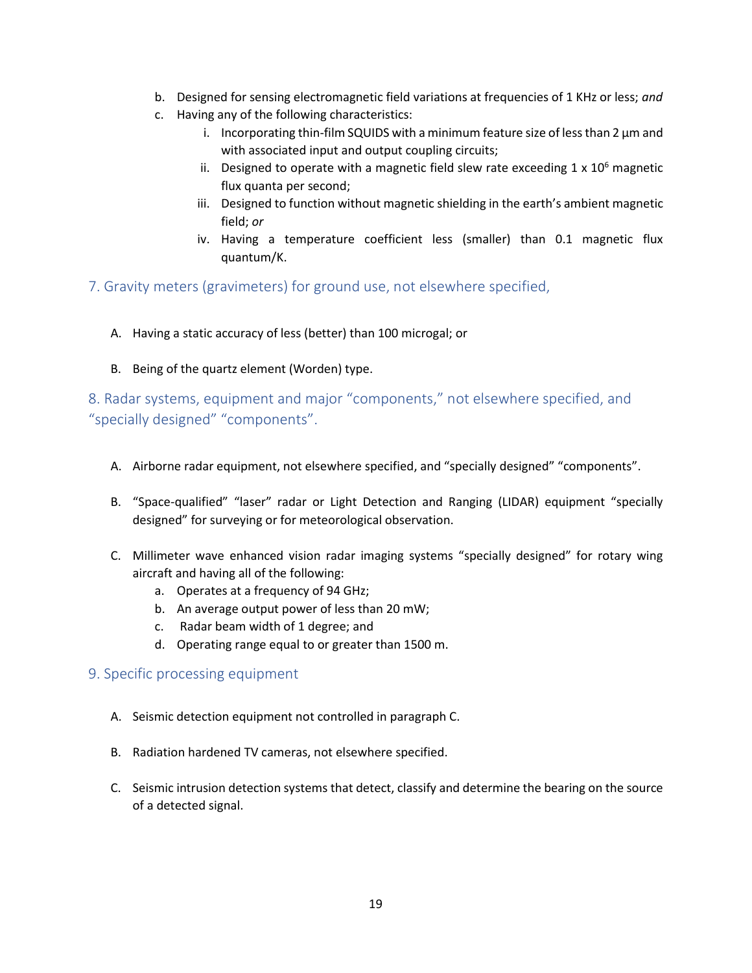- b. Designed for sensing electromagnetic field variations at frequencies of 1 KHz or less; *and*
- c. Having any of the following characteristics:
	- i. Incorporating thin-film SQUIDS with a minimum feature size of less than 2 μm and with associated input and output coupling circuits;
	- ii. Designed to operate with a magnetic field slew rate exceeding  $1 \times 10^6$  magnetic flux quanta per second;
	- iii. Designed to function without magnetic shielding in the earth's ambient magnetic field; *or*
	- iv. Having a temperature coefficient less (smaller) than 0.1 magnetic flux quantum/K.

7. Gravity meters (gravimeters) for ground use, not elsewhere specified,

- A. Having a static accuracy of less (better) than 100 microgal; or
- B. Being of the quartz element (Worden) type.

8. Radar systems, equipment and major "components," not elsewhere specified, and "specially designed" "components".

- A. Airborne radar equipment, not elsewhere specified, and "specially designed" "components".
- B. "Space-qualified" "laser" radar or Light Detection and Ranging (LIDAR) equipment "specially designed" for surveying or for meteorological observation.
- C. Millimeter wave enhanced vision radar imaging systems "specially designed" for rotary wing aircraft and having all of the following:
	- a. Operates at a frequency of 94 GHz;
	- b. An average output power of less than 20 mW;
	- c. Radar beam width of 1 degree; and
	- d. Operating range equal to or greater than 1500 m.

#### 9. Specific processing equipment

- A. Seismic detection equipment not controlled in paragraph C.
- B. Radiation hardened TV cameras, not elsewhere specified.
- C. Seismic intrusion detection systems that detect, classify and determine the bearing on the source of a detected signal.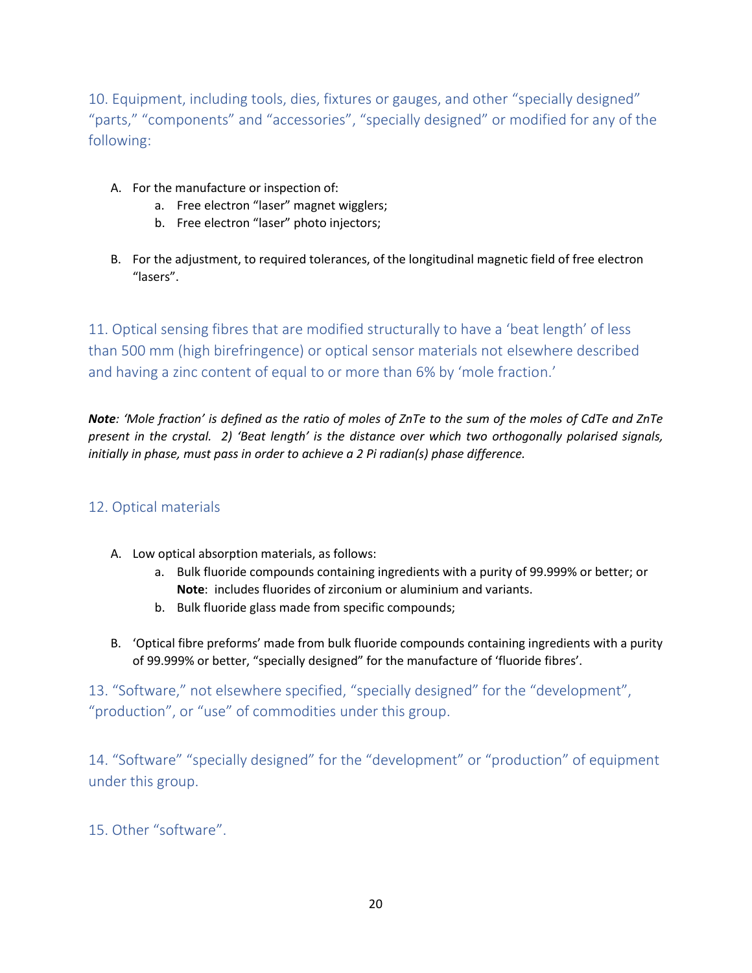10. Equipment, including tools, dies, fixtures or gauges, and other "specially designed" "parts," "components" and "accessories", "specially designed" or modified for any of the following:

- A. For the manufacture or inspection of:
	- a. Free electron "laser" magnet wigglers;
	- b. Free electron "laser" photo injectors;
- B. For the adjustment, to required tolerances, of the longitudinal magnetic field of free electron "lasers".

11. Optical sensing fibres that are modified structurally to have a 'beat length' of less than 500 mm (high birefringence) or optical sensor materials not elsewhere described and having a zinc content of equal to or more than 6% by 'mole fraction.'

*Note: 'Mole fraction' is defined as the ratio of moles of ZnTe to the sum of the moles of CdTe and ZnTe present in the crystal. 2) 'Beat length' is the distance over which two orthogonally polarised signals, initially in phase, must pass in order to achieve a 2 Pi radian(s) phase difference.*

### 12. Optical materials

- A. Low optical absorption materials, as follows:
	- a. Bulk fluoride compounds containing ingredients with a purity of 99.999% or better; or **Note**: includes fluorides of zirconium or aluminium and variants.
	- b. Bulk fluoride glass made from specific compounds;
- B. 'Optical fibre preforms' made from bulk fluoride compounds containing ingredients with a purity of 99.999% or better, "specially designed" for the manufacture of 'fluoride fibres'.

13. "Software," not elsewhere specified, "specially designed" for the "development", "production", or "use" of commodities under this group.

14. "Software" "specially designed" for the "development" or "production" of equipment under this group.

15. Other "software".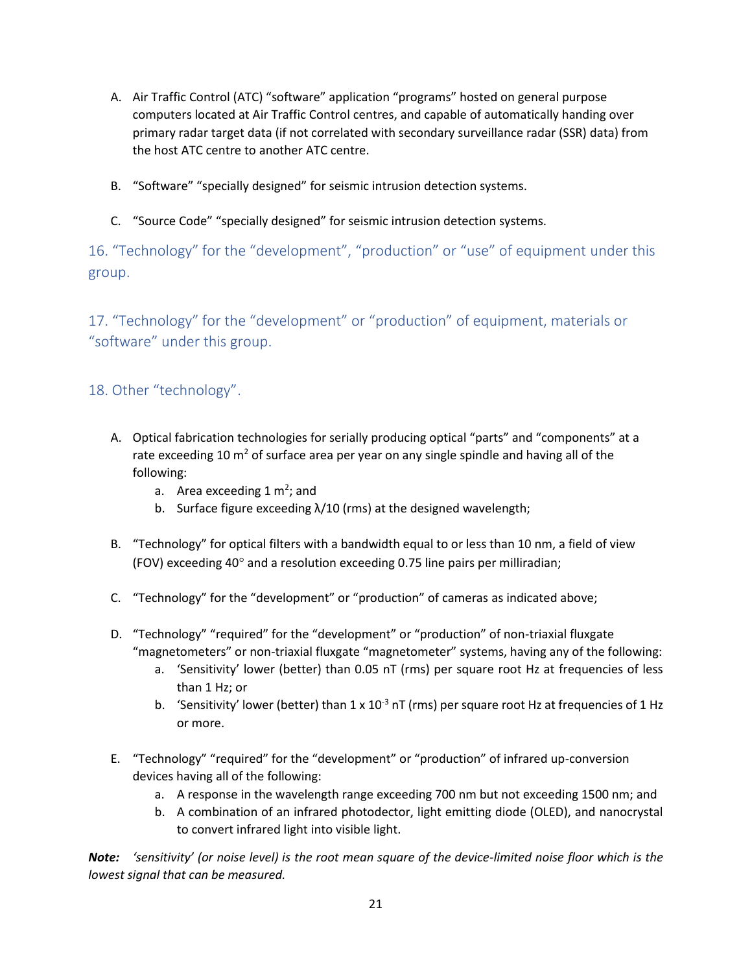- A. Air Traffic Control (ATC) "software" application "programs" hosted on general purpose computers located at Air Traffic Control centres, and capable of automatically handing over primary radar target data (if not correlated with secondary surveillance radar (SSR) data) from the host ATC centre to another ATC centre.
- B. "Software" "specially designed" for seismic intrusion detection systems.
- C. "Source Code" "specially designed" for seismic intrusion detection systems.

16. "Technology" for the "development", "production" or "use" of equipment under this group.

17. "Technology" for the "development" or "production" of equipment, materials or "software" under this group.

18. Other "technology".

- A. Optical fabrication technologies for serially producing optical "parts" and "components" at a rate exceeding 10  $\text{m}^2$  of surface area per year on any single spindle and having all of the following:
	- a. Area exceeding  $1 \text{ m}^2$ ; and
	- b. Surface figure exceeding λ/10 (rms) at the designed wavelength;
- B. "Technology" for optical filters with a bandwidth equal to or less than 10 nm, a field of view (FOV) exceeding 40 $^{\circ}$  and a resolution exceeding 0.75 line pairs per milliradian;
- C. "Technology" for the "development" or "production" of cameras as indicated above;
- D. "Technology" "required" for the "development" or "production" of non-triaxial fluxgate "magnetometers" or non-triaxial fluxgate "magnetometer" systems, having any of the following:
	- a. 'Sensitivity' lower (better) than 0.05 nT (rms) per square root Hz at frequencies of less than 1 Hz; or
	- b. 'Sensitivity' lower (better) than  $1 \times 10^{-3}$  nT (rms) per square root Hz at frequencies of 1 Hz or more.
- E. "Technology" "required" for the "development" or "production" of infrared up-conversion devices having all of the following:
	- a. A response in the wavelength range exceeding 700 nm but not exceeding 1500 nm; and
	- b. A combination of an infrared photodector, light emitting diode (OLED), and nanocrystal to convert infrared light into visible light.

*Note: 'sensitivity' (or noise level) is the root mean square of the device-limited noise floor which is the lowest signal that can be measured.*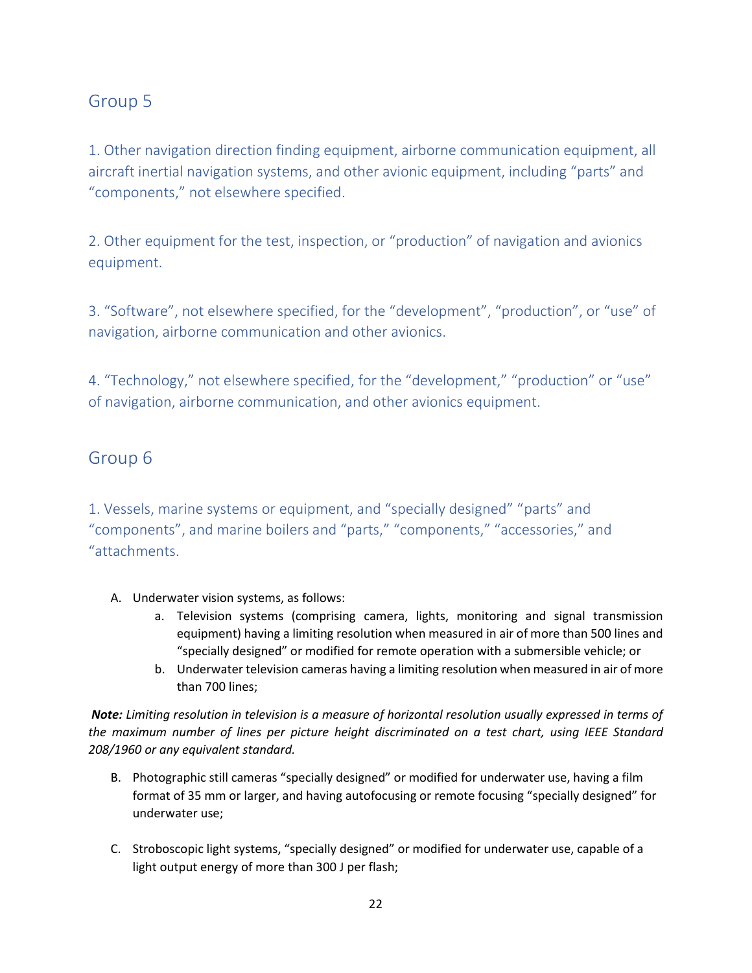# Group 5

1. Other navigation direction finding equipment, airborne communication equipment, all aircraft inertial navigation systems, and other avionic equipment, including "parts" and "components," not elsewhere specified.

2. Other equipment for the test, inspection, or "production" of navigation and avionics equipment.

3. "Software", not elsewhere specified, for the "development", "production", or "use" of navigation, airborne communication and other avionics.

4. "Technology," not elsewhere specified, for the "development," "production" or "use" of navigation, airborne communication, and other avionics equipment.

# Group 6

1. Vessels, marine systems or equipment, and "specially designed" "parts" and "components", and marine boilers and "parts," "components," "accessories," and "attachments.

- A. Underwater vision systems, as follows:
	- a. Television systems (comprising camera, lights, monitoring and signal transmission equipment) having a limiting resolution when measured in air of more than 500 lines and "specially designed" or modified for remote operation with a submersible vehicle; or
	- b. Underwater television cameras having a limiting resolution when measured in air of more than 700 lines;

*Note: Limiting resolution in television is a measure of horizontal resolution usually expressed in terms of the maximum number of lines per picture height discriminated on a test chart, using IEEE Standard 208/1960 or any equivalent standard.*

- B. Photographic still cameras "specially designed" or modified for underwater use, having a film format of 35 mm or larger, and having autofocusing or remote focusing "specially designed" for underwater use;
- C. Stroboscopic light systems, "specially designed" or modified for underwater use, capable of a light output energy of more than 300 J per flash;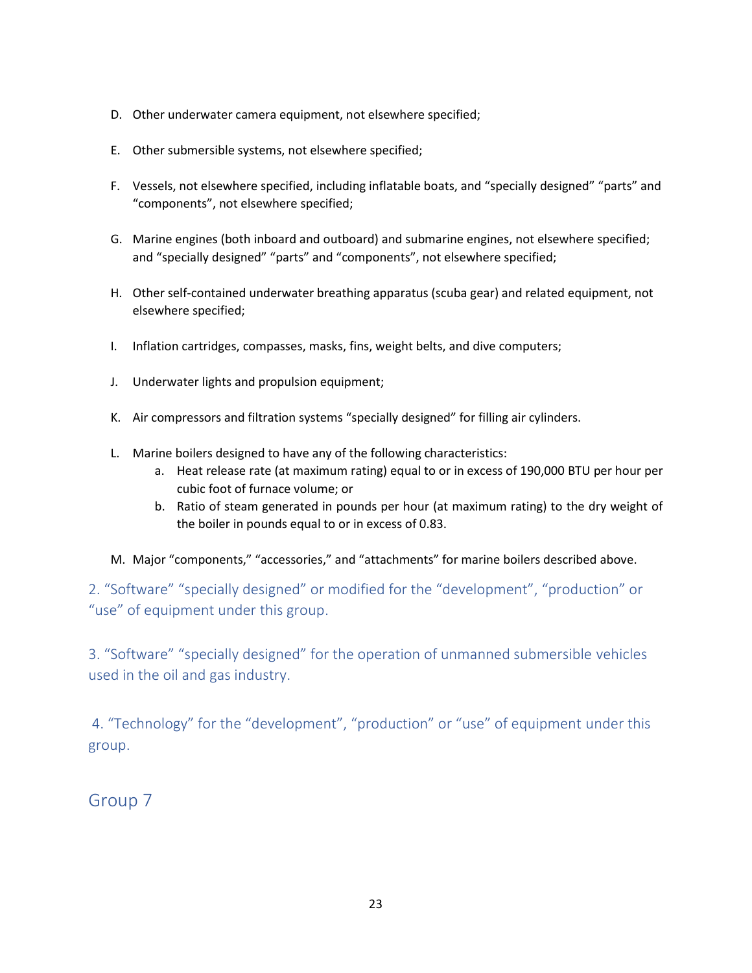- D. Other underwater camera equipment, not elsewhere specified;
- E. Other submersible systems, not elsewhere specified;
- F. Vessels, not elsewhere specified, including inflatable boats, and "specially designed" "parts" and "components", not elsewhere specified;
- G. Marine engines (both inboard and outboard) and submarine engines, not elsewhere specified; and "specially designed" "parts" and "components", not elsewhere specified;
- H. Other self-contained underwater breathing apparatus (scuba gear) and related equipment, not elsewhere specified;
- I. Inflation cartridges, compasses, masks, fins, weight belts, and dive computers;
- J. Underwater lights and propulsion equipment;
- K. Air compressors and filtration systems "specially designed" for filling air cylinders.
- L. Marine boilers designed to have any of the following characteristics:
	- a. Heat release rate (at maximum rating) equal to or in excess of 190,000 BTU per hour per cubic foot of furnace volume; or
	- b. Ratio of steam generated in pounds per hour (at maximum rating) to the dry weight of the boiler in pounds equal to or in excess of 0.83.
- M. Major "components," "accessories," and "attachments" for marine boilers described above.

2. "Software" "specially designed" or modified for the "development", "production" or "use" of equipment under this group.

3. "Software" "specially designed" for the operation of unmanned submersible vehicles used in the oil and gas industry.

4. "Technology" for the "development", "production" or "use" of equipment under this group.

Group 7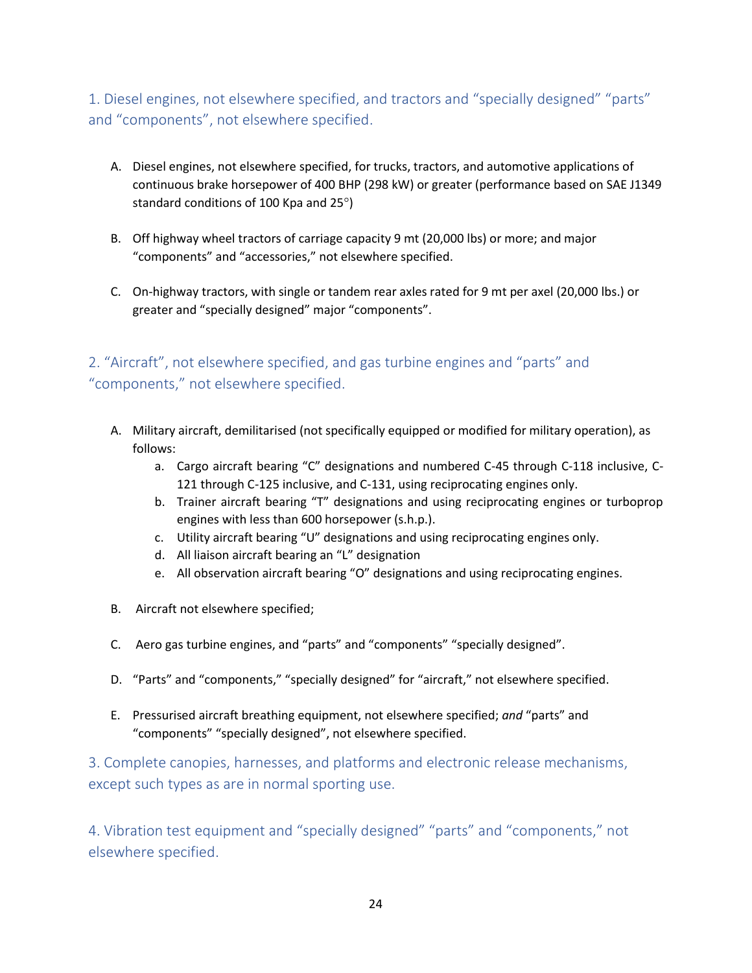1. Diesel engines, not elsewhere specified, and tractors and "specially designed" "parts" and "components", not elsewhere specified.

- A. Diesel engines, not elsewhere specified, for trucks, tractors, and automotive applications of continuous brake horsepower of 400 BHP (298 kW) or greater (performance based on SAE J1349 standard conditions of 100 Kpa and  $25^{\circ}$ )
- B. Off highway wheel tractors of carriage capacity 9 mt (20,000 lbs) or more; and major "components" and "accessories," not elsewhere specified.
- C. On-highway tractors, with single or tandem rear axles rated for 9 mt per axel (20,000 lbs.) or greater and "specially designed" major "components".

# 2. "Aircraft", not elsewhere specified, and gas turbine engines and "parts" and "components," not elsewhere specified.

- A. Military aircraft, demilitarised (not specifically equipped or modified for military operation), as follows:
	- a. Cargo aircraft bearing "C" designations and numbered C-45 through C-118 inclusive, C-121 through C-125 inclusive, and C-131, using reciprocating engines only.
	- b. Trainer aircraft bearing "T" designations and using reciprocating engines or turboprop engines with less than 600 horsepower (s.h.p.).
	- c. Utility aircraft bearing "U" designations and using reciprocating engines only.
	- d. All liaison aircraft bearing an "L" designation
	- e. All observation aircraft bearing "O" designations and using reciprocating engines.
- B. Aircraft not elsewhere specified;
- C. Aero gas turbine engines, and "parts" and "components" "specially designed".
- D. "Parts" and "components," "specially designed" for "aircraft," not elsewhere specified.
- E. Pressurised aircraft breathing equipment, not elsewhere specified; *and* "parts" and "components" "specially designed", not elsewhere specified.

3. Complete canopies, harnesses, and platforms and electronic release mechanisms, except such types as are in normal sporting use.

4. Vibration test equipment and "specially designed" "parts" and "components," not elsewhere specified.